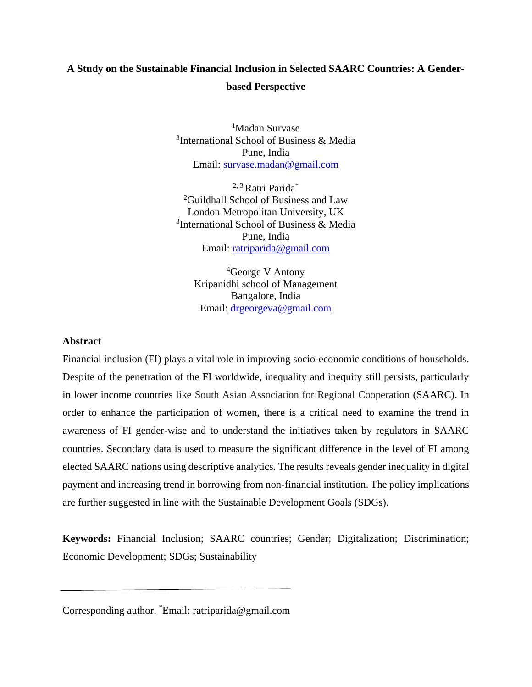# **A Study on the Sustainable Financial Inclusion in Selected SAARC Countries: A Genderbased Perspective**

<sup>1</sup>Madan Survase <sup>3</sup>International School of Business & Media Pune, India Email: [survase.madan@gmail.com](mailto:survase.madan@gmail.com)

<sup>2, 3</sup> Ratri Parida\* <sup>2</sup>Guildhall School of Business and Law London Metropolitan University, UK <sup>3</sup>International School of Business & Media Pune, India Email: [ratriparida@gmail.com](mailto:ratriparida@gmail.com)

<sup>4</sup>George V Antony Kripanidhi school of Management Bangalore, India Email: [drgeorgeva@gmail.com](mailto:drgeorgeva@gmail.com)

## **Abstract**

Financial inclusion (FI) plays a vital role in improving socio-economic conditions of households. Despite of the penetration of the FI worldwide, inequality and inequity still persists, particularly in lower income countries like South Asian Association for Regional Cooperation (SAARC). In order to enhance the participation of women, there is a critical need to examine the trend in awareness of FI gender-wise and to understand the initiatives taken by regulators in SAARC countries. Secondary data is used to measure the significant difference in the level of FI among elected SAARC nations using descriptive analytics. The results reveals gender inequality in digital payment and increasing trend in borrowing from non-financial institution. The policy implications are further suggested in line with the Sustainable Development Goals (SDGs).

**Keywords:** Financial Inclusion; SAARC countries; Gender; Digitalization; Discrimination; Economic Development; SDGs; Sustainability

Corresponding author. \*Email: ratriparida@gmail.com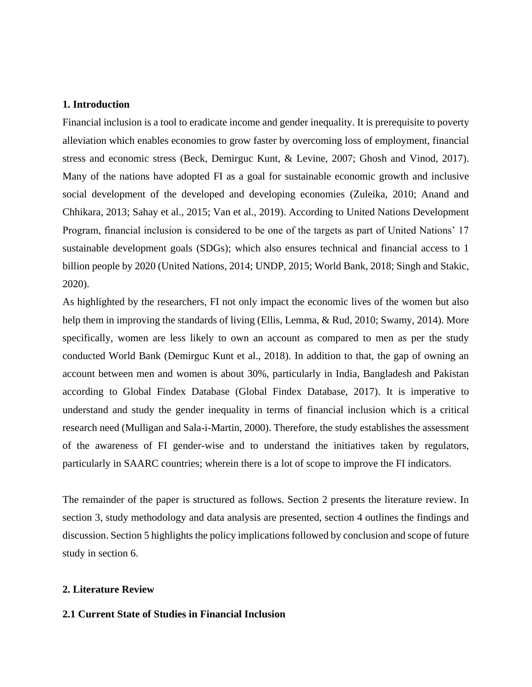## **1. Introduction**

Financial inclusion is a tool to eradicate income and gender inequality. It is prerequisite to poverty alleviation which enables economies to grow faster by overcoming loss of employment, financial stress and economic stress (Beck, Demirguc Kunt, & Levine, 2007; Ghosh and Vinod, 2017). Many of the nations have adopted FI as a goal for sustainable economic growth and inclusive social development of the developed and developing economies (Zuleika, 2010; Anand and Chhikara, 2013; Sahay et al., 2015; Van et al., 2019). According to United Nations Development Program, financial inclusion is considered to be one of the targets as part of United Nations' 17 sustainable development goals (SDGs); which also ensures technical and financial access to 1 billion people by 2020 (United Nations, 2014; UNDP, 2015; World Bank, 2018; Singh and Stakic, 2020).

As highlighted by the researchers, FI not only impact the economic lives of the women but also help them in improving the standards of living (Ellis, Lemma, & Rud, 2010; Swamy, 2014). More specifically, women are less likely to own an account as compared to men as per the study conducted World Bank (Demirguc Kunt et al., 2018). In addition to that, the gap of owning an account between men and women is about 30%, particularly in India, Bangladesh and Pakistan according to Global Findex Database (Global Findex Database, 2017). It is imperative to understand and study the gender inequality in terms of financial inclusion which is a critical research need (Mulligan and Sala-i-Martin, 2000). Therefore, the study establishes the assessment of the awareness of FI gender-wise and to understand the initiatives taken by regulators, particularly in SAARC countries; wherein there is a lot of scope to improve the FI indicators.

The remainder of the paper is structured as follows. Section 2 presents the literature review. In section 3, study methodology and data analysis are presented, section 4 outlines the findings and discussion. Section 5 highlights the policy implications followed by conclusion and scope of future study in section 6.

#### **2. Literature Review**

#### **2.1 Current State of Studies in Financial Inclusion**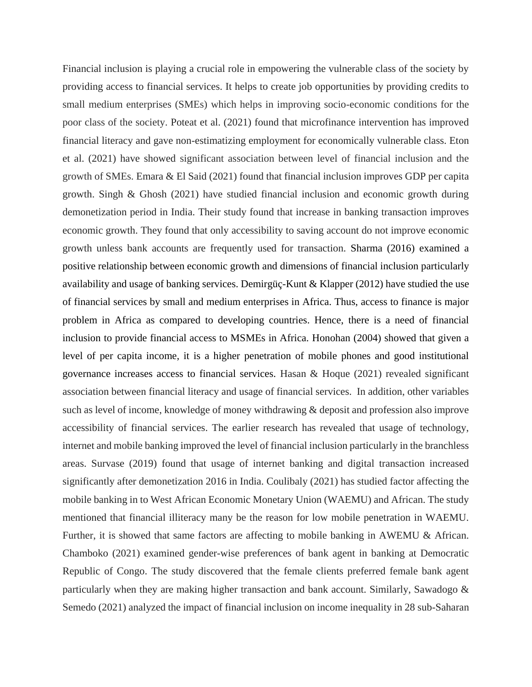Financial inclusion is playing a crucial role in empowering the vulnerable class of the society by providing access to financial services. It helps to create job opportunities by providing credits to small medium enterprises (SMEs) which helps in improving socio-economic conditions for the poor class of the society. Poteat et al. (2021) found that microfinance intervention has improved financial literacy and gave non-estimatizing employment for economically vulnerable class. Eton et al. (2021) have showed significant association between level of financial inclusion and the growth of SMEs. Emara & El Said (2021) found that financial inclusion improves GDP per capita growth. Singh & Ghosh (2021) have studied financial inclusion and economic growth during demonetization period in India. Their study found that increase in banking transaction improves economic growth. They found that only accessibility to saving account do not improve economic growth unless bank accounts are frequently used for transaction. Sharma (2016) examined a positive relationship between economic growth and dimensions of financial inclusion particularly availability and usage of banking services. Demirgüç-Kunt & Klapper (2012) have studied the use of financial services by small and medium enterprises in Africa. Thus, access to finance is major problem in Africa as compared to developing countries. Hence, there is a need of financial inclusion to provide financial access to MSMEs in Africa. Honohan (2004) showed that given a level of per capita income, it is a higher penetration of mobile phones and good institutional governance increases access to financial services. Hasan & Hoque (2021) revealed significant association between financial literacy and usage of financial services. In addition, other variables such as level of income, knowledge of money withdrawing & deposit and profession also improve accessibility of financial services. The earlier research has revealed that usage of technology, internet and mobile banking improved the level of financial inclusion particularly in the branchless areas. Survase (2019) found that usage of internet banking and digital transaction increased significantly after demonetization 2016 in India. Coulibaly (2021) has studied factor affecting the mobile banking in to West African Economic Monetary Union (WAEMU) and African. The study mentioned that financial illiteracy many be the reason for low mobile penetration in WAEMU. Further, it is showed that same factors are affecting to mobile banking in AWEMU & African. Chamboko (2021) examined gender-wise preferences of bank agent in banking at Democratic Republic of Congo. The study discovered that the female clients preferred female bank agent particularly when they are making higher transaction and bank account. Similarly, Sawadogo & Semedo (2021) analyzed the impact of financial inclusion on income inequality in 28 sub-Saharan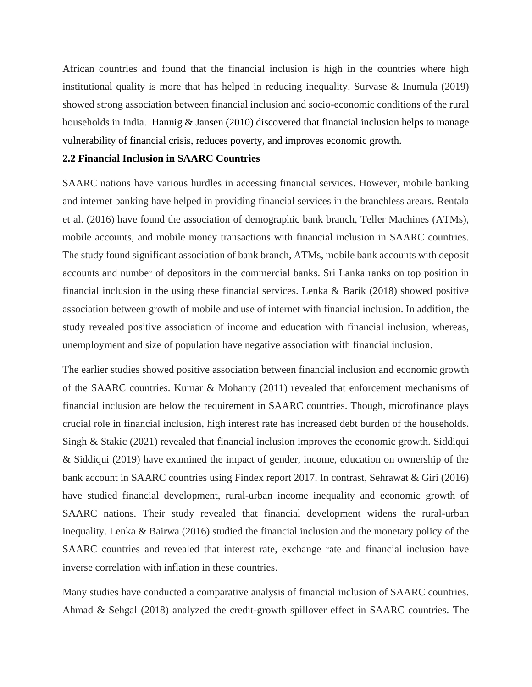African countries and found that the financial inclusion is high in the countries where high institutional quality is more that has helped in reducing inequality. Survase & Inumula (2019) showed strong association between financial inclusion and socio-economic conditions of the rural households in India. Hannig & Jansen (2010) discovered that financial inclusion helps to manage vulnerability of financial crisis, reduces poverty, and improves economic growth.

#### **2.2 Financial Inclusion in SAARC Countries**

SAARC nations have various hurdles in accessing financial services. However, mobile banking and internet banking have helped in providing financial services in the branchless arears. Rentala et al. (2016) have found the association of demographic bank branch, Teller Machines (ATMs), mobile accounts, and mobile money transactions with financial inclusion in SAARC countries. The study found significant association of bank branch, ATMs, mobile bank accounts with deposit accounts and number of depositors in the commercial banks. Sri Lanka ranks on top position in financial inclusion in the using these financial services. Lenka & Barik (2018) showed positive association between growth of mobile and use of internet with financial inclusion. In addition, the study revealed positive association of income and education with financial inclusion, whereas, unemployment and size of population have negative association with financial inclusion.

The earlier studies showed positive association between financial inclusion and economic growth of the SAARC countries. Kumar & Mohanty (2011) revealed that enforcement mechanisms of financial inclusion are below the requirement in SAARC countries. Though, microfinance plays crucial role in financial inclusion, high interest rate has increased debt burden of the households. Singh & Stakic (2021) revealed that financial inclusion improves the economic growth. Siddiqui & Siddiqui (2019) have examined the impact of gender, income, education on ownership of the bank account in SAARC countries using Findex report 2017. In contrast, Sehrawat & Giri (2016) have studied financial development, rural-urban income inequality and economic growth of SAARC nations. Their study revealed that financial development widens the rural-urban inequality. Lenka & Bairwa (2016) studied the financial inclusion and the monetary policy of the SAARC countries and revealed that interest rate, exchange rate and financial inclusion have inverse correlation with inflation in these countries.

Many studies have conducted a comparative analysis of financial inclusion of SAARC countries. Ahmad & Sehgal (2018) analyzed the credit-growth spillover effect in SAARC countries. The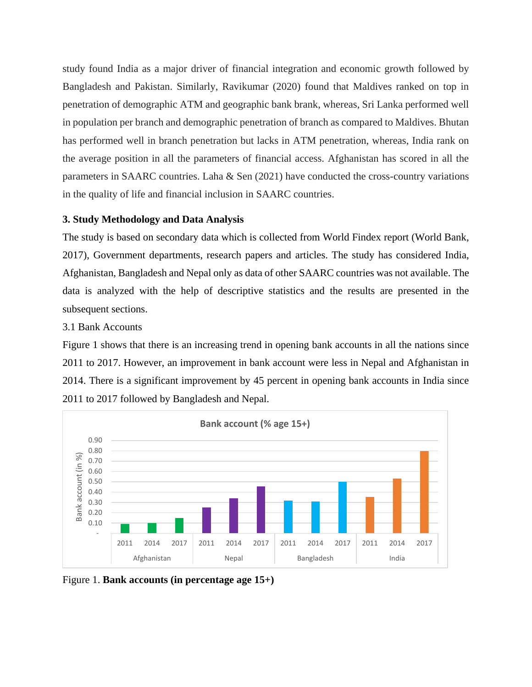study found India as a major driver of financial integration and economic growth followed by Bangladesh and Pakistan. Similarly, Ravikumar (2020) found that Maldives ranked on top in penetration of demographic ATM and geographic bank brank, whereas, Sri Lanka performed well in population per branch and demographic penetration of branch as compared to Maldives. Bhutan has performed well in branch penetration but lacks in ATM penetration, whereas, India rank on the average position in all the parameters of financial access. Afghanistan has scored in all the parameters in SAARC countries. Laha & Sen (2021) have conducted the cross-country variations in the quality of life and financial inclusion in SAARC countries.

# **3. Study Methodology and Data Analysis**

The study is based on secondary data which is collected from World Findex report (World Bank, 2017), Government departments, research papers and articles. The study has considered India, Afghanistan, Bangladesh and Nepal only as data of other SAARC countries was not available. The data is analyzed with the help of descriptive statistics and the results are presented in the subsequent sections.

# 3.1 Bank Accounts

Figure 1 shows that there is an increasing trend in opening bank accounts in all the nations since 2011 to 2017. However, an improvement in bank account were less in Nepal and Afghanistan in 2014. There is a significant improvement by 45 percent in opening bank accounts in India since 2011 to 2017 followed by Bangladesh and Nepal.



Figure 1. **Bank accounts (in percentage age 15+)**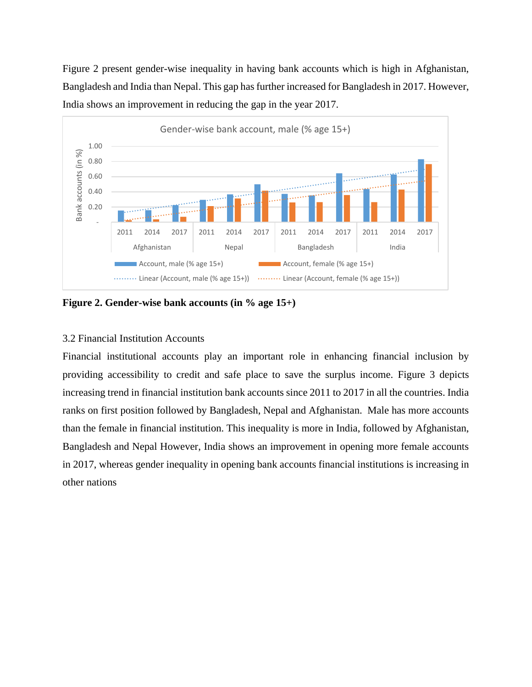Figure 2 present gender-wise inequality in having bank accounts which is high in Afghanistan, Bangladesh and India than Nepal. This gap has further increased for Bangladesh in 2017. However, India shows an improvement in reducing the gap in the year 2017.



**Figure 2. Gender-wise bank accounts (in % age 15+)**

# 3.2 Financial Institution Accounts

Financial institutional accounts play an important role in enhancing financial inclusion by providing accessibility to credit and safe place to save the surplus income. Figure 3 depicts increasing trend in financial institution bank accounts since 2011 to 2017 in all the countries. India ranks on first position followed by Bangladesh, Nepal and Afghanistan. Male has more accounts than the female in financial institution. This inequality is more in India, followed by Afghanistan, Bangladesh and Nepal However, India shows an improvement in opening more female accounts in 2017, whereas gender inequality in opening bank accounts financial institutions is increasing in other nations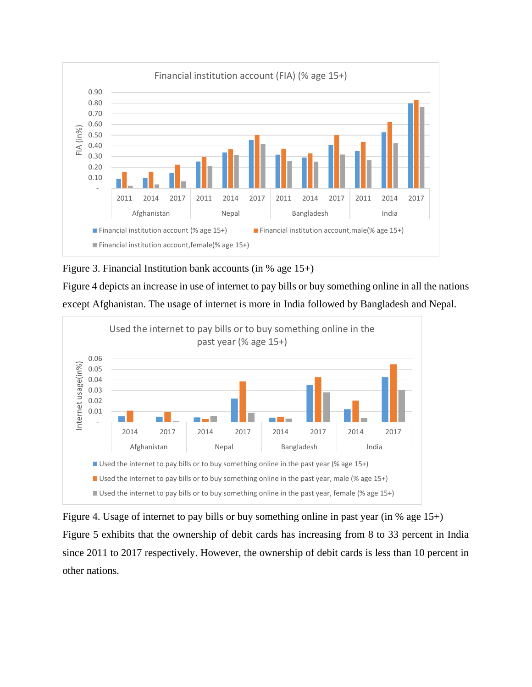



Figure 4 depicts an increase in use of internet to pay bills or buy something online in all the nations except Afghanistan. The usage of internet is more in India followed by Bangladesh and Nepal.



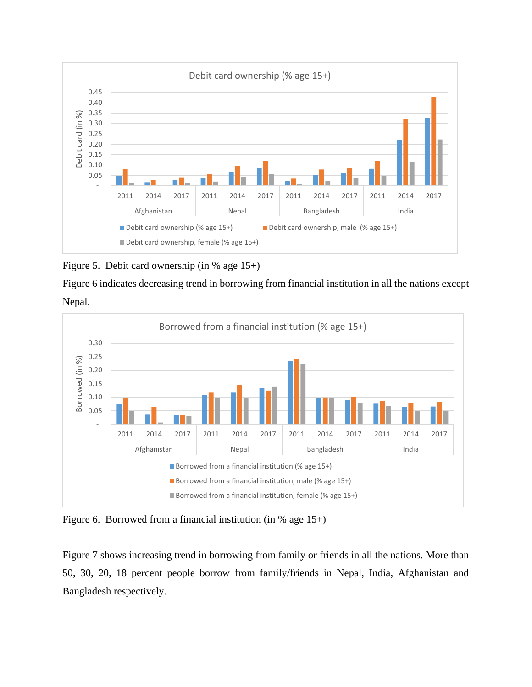

Figure 5. Debit card ownership (in % age 15+)

Figure 6 indicates decreasing trend in borrowing from financial institution in all the nations except Nepal.



Figure 6. Borrowed from a financial institution (in % age 15+)

Figure 7 shows increasing trend in borrowing from family or friends in all the nations. More than 50, 30, 20, 18 percent people borrow from family/friends in Nepal, India, Afghanistan and Bangladesh respectively.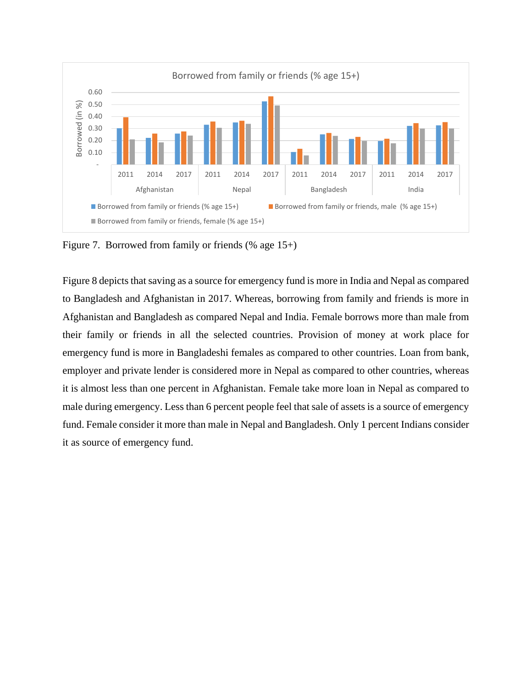

Figure 7. Borrowed from family or friends (% age 15+)

Figure 8 depicts that saving as a source for emergency fund is more in India and Nepal as compared to Bangladesh and Afghanistan in 2017. Whereas, borrowing from family and friends is more in Afghanistan and Bangladesh as compared Nepal and India. Female borrows more than male from their family or friends in all the selected countries. Provision of money at work place for emergency fund is more in Bangladeshi females as compared to other countries. Loan from bank, employer and private lender is considered more in Nepal as compared to other countries, whereas it is almost less than one percent in Afghanistan. Female take more loan in Nepal as compared to male during emergency. Less than 6 percent people feel that sale of assets is a source of emergency fund. Female consider it more than male in Nepal and Bangladesh. Only 1 percent Indians consider it as source of emergency fund.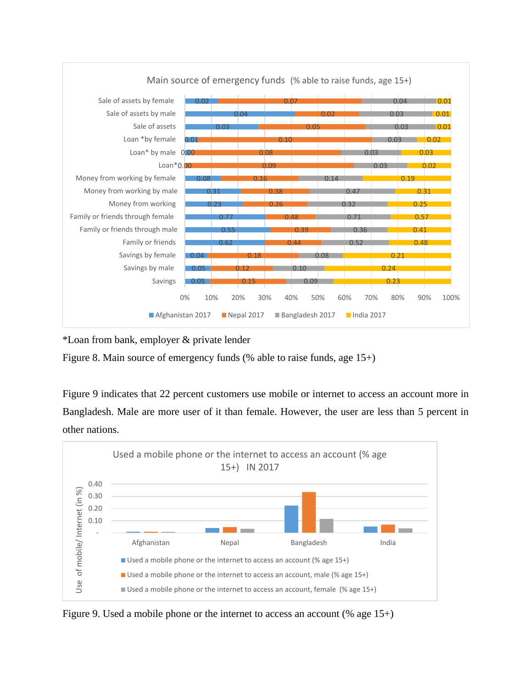

\*Loan from bank, employer & private lender

Figure 8. Main source of emergency funds (% able to raise funds, age 15+)

Figure 9 indicates that 22 percent customers use mobile or internet to access an account more in Bangladesh. Male are more user of it than female. However, the user are less than 5 percent in other nations.



Figure 9. Used a mobile phone or the internet to access an account (% age 15+)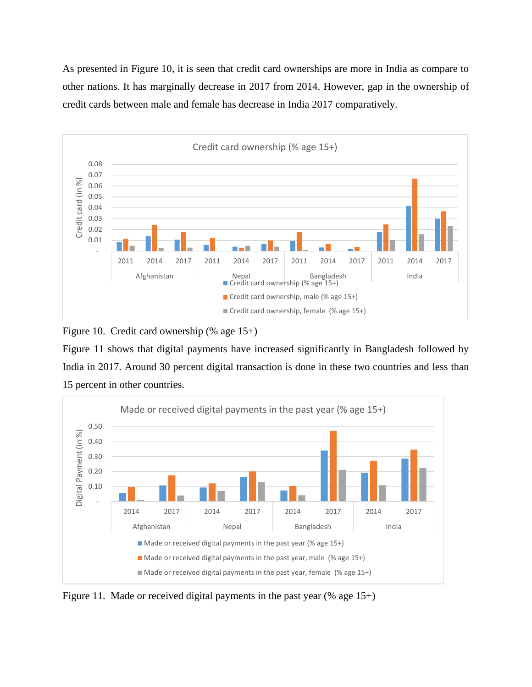As presented in Figure 10, it is seen that credit card ownerships are more in India as compare to other nations. It has marginally decrease in 2017 from 2014. However, gap in the ownership of credit cards between male and female has decrease in India 2017 comparatively.



Figure 10. Credit card ownership (% age 15+)

Figure 11 shows that digital payments have increased significantly in Bangladesh followed by India in 2017. Around 30 percent digital transaction is done in these two countries and less than 15 percent in other countries.



Figure 11. Made or received digital payments in the past year (% age 15+)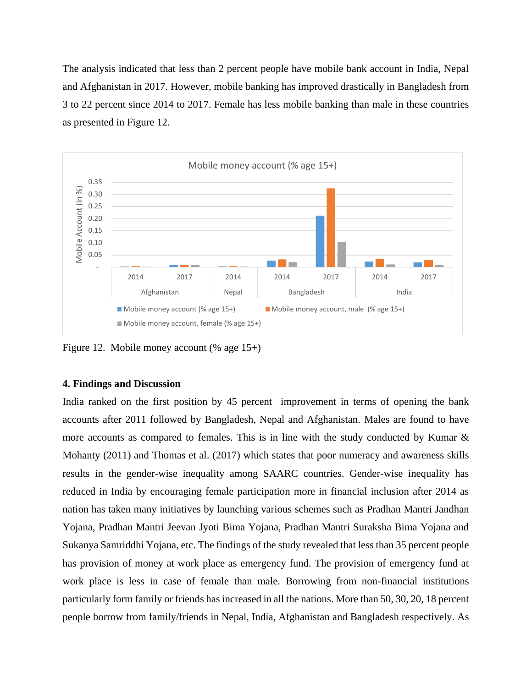The analysis indicated that less than 2 percent people have mobile bank account in India, Nepal and Afghanistan in 2017. However, mobile banking has improved drastically in Bangladesh from 3 to 22 percent since 2014 to 2017. Female has less mobile banking than male in these countries as presented in Figure 12.



Figure 12. Mobile money account (% age 15+)

## **4. Findings and Discussion**

India ranked on the first position by 45 percent improvement in terms of opening the bank accounts after 2011 followed by Bangladesh, Nepal and Afghanistan. Males are found to have more accounts as compared to females. This is in line with the study conducted by Kumar  $\&$ Mohanty (2011) and Thomas et al. (2017) which states that poor numeracy and awareness skills results in the gender-wise inequality among SAARC countries. Gender-wise inequality has reduced in India by encouraging female participation more in financial inclusion after 2014 as nation has taken many initiatives by launching various schemes such as Pradhan Mantri Jandhan Yojana, Pradhan Mantri Jeevan Jyoti Bima Yojana, Pradhan Mantri Suraksha Bima Yojana and Sukanya Samriddhi Yojana, etc. The findings of the study revealed that less than 35 percent people has provision of money at work place as emergency fund. The provision of emergency fund at work place is less in case of female than male. Borrowing from non-financial institutions particularly form family or friends has increased in all the nations. More than 50, 30, 20, 18 percent people borrow from family/friends in Nepal, India, Afghanistan and Bangladesh respectively. As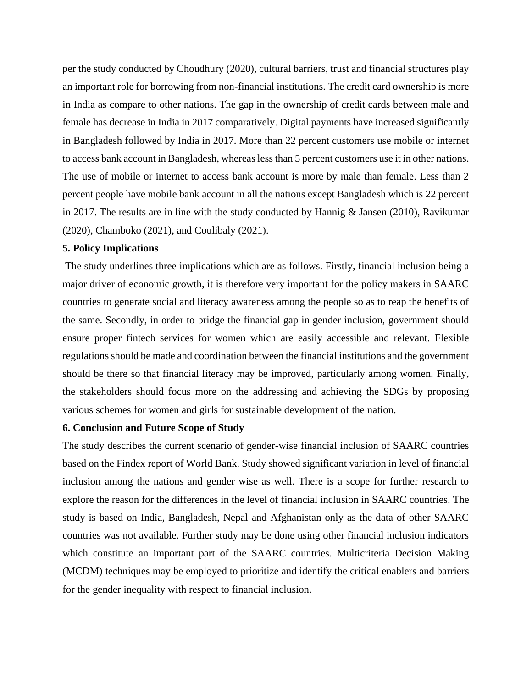per the study conducted by Choudhury (2020), cultural barriers, trust and financial structures play an important role for borrowing from non-financial institutions. The credit card ownership is more in India as compare to other nations. The gap in the ownership of credit cards between male and female has decrease in India in 2017 comparatively. Digital payments have increased significantly in Bangladesh followed by India in 2017. More than 22 percent customers use mobile or internet to access bank account in Bangladesh, whereas less than 5 percent customers use it in other nations. The use of mobile or internet to access bank account is more by male than female. Less than 2 percent people have mobile bank account in all the nations except Bangladesh which is 22 percent in 2017. The results are in line with the study conducted by Hannig & Jansen (2010), Ravikumar (2020), Chamboko (2021), and Coulibaly (2021).

# **5. Policy Implications**

The study underlines three implications which are as follows. Firstly, financial inclusion being a major driver of economic growth, it is therefore very important for the policy makers in SAARC countries to generate social and literacy awareness among the people so as to reap the benefits of the same. Secondly, in order to bridge the financial gap in gender inclusion, government should ensure proper fintech services for women which are easily accessible and relevant. Flexible regulations should be made and coordination between the financial institutions and the government should be there so that financial literacy may be improved, particularly among women. Finally, the stakeholders should focus more on the addressing and achieving the SDGs by proposing various schemes for women and girls for sustainable development of the nation.

## **6. Conclusion and Future Scope of Study**

The study describes the current scenario of gender-wise financial inclusion of SAARC countries based on the Findex report of World Bank. Study showed significant variation in level of financial inclusion among the nations and gender wise as well. There is a scope for further research to explore the reason for the differences in the level of financial inclusion in SAARC countries. The study is based on India, Bangladesh, Nepal and Afghanistan only as the data of other SAARC countries was not available. Further study may be done using other financial inclusion indicators which constitute an important part of the SAARC countries. Multicriteria Decision Making (MCDM) techniques may be employed to prioritize and identify the critical enablers and barriers for the gender inequality with respect to financial inclusion.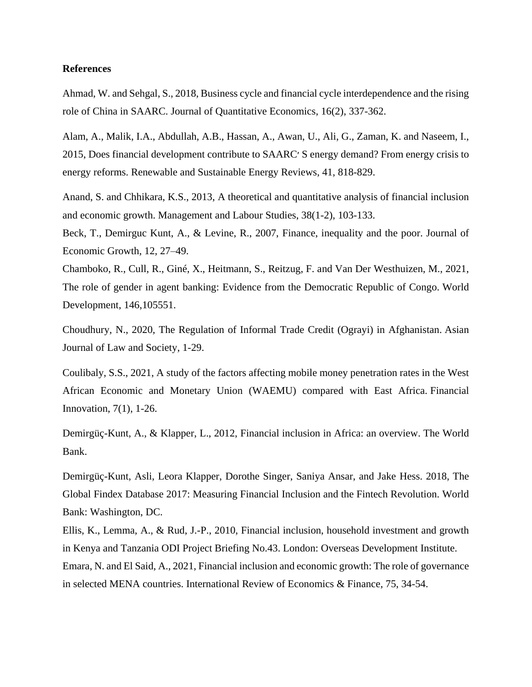## **References**

Ahmad, W. and Sehgal, S., 2018, Business cycle and financial cycle interdependence and the rising role of China in SAARC. Journal of Quantitative Economics, 16(2), 337-362.

Alam, A., Malik, I.A., Abdullah, A.B., Hassan, A., Awan, U., Ali, G., Zaman, K. and Naseem, I., 2015, Does financial development contribute to SAARC׳ S energy demand? From energy crisis to energy reforms. Renewable and Sustainable Energy Reviews, 41, 818-829.

Anand, S. and Chhikara, K.S., 2013, A theoretical and quantitative analysis of financial inclusion and economic growth. Management and Labour Studies, 38(1-2), 103-133.

Beck, T., Demirguc Kunt, A., & Levine, R., 2007, Finance, inequality and the poor. Journal of Economic Growth, 12, 27–49.

Chamboko, R., Cull, R., Giné, X., Heitmann, S., Reitzug, F. and Van Der Westhuizen, M., 2021, The role of gender in agent banking: Evidence from the Democratic Republic of Congo. World Development, 146,105551.

Choudhury, N., 2020, The Regulation of Informal Trade Credit (Ograyi) in Afghanistan. Asian Journal of Law and Society, 1-29.

Coulibaly, S.S., 2021, A study of the factors affecting mobile money penetration rates in the West African Economic and Monetary Union (WAEMU) compared with East Africa. Financial Innovation, 7(1), 1-26.

Demirgüç-Kunt, A., & Klapper, L., 2012, Financial inclusion in Africa: an overview. The World Bank.

Demirgüç-Kunt, Asli, Leora Klapper, Dorothe Singer, Saniya Ansar, and Jake Hess. 2018, The Global Findex Database 2017: Measuring Financial Inclusion and the Fintech Revolution. World Bank: Washington, DC.

Ellis, K., Lemma, A., & Rud, J.-P., 2010, Financial inclusion, household investment and growth in Kenya and Tanzania ODI Project Briefing No.43. London: Overseas Development Institute. Emara, N. and El Said, A., 2021, Financial inclusion and economic growth: The role of governance in selected MENA countries. International Review of Economics & Finance, 75, 34-54.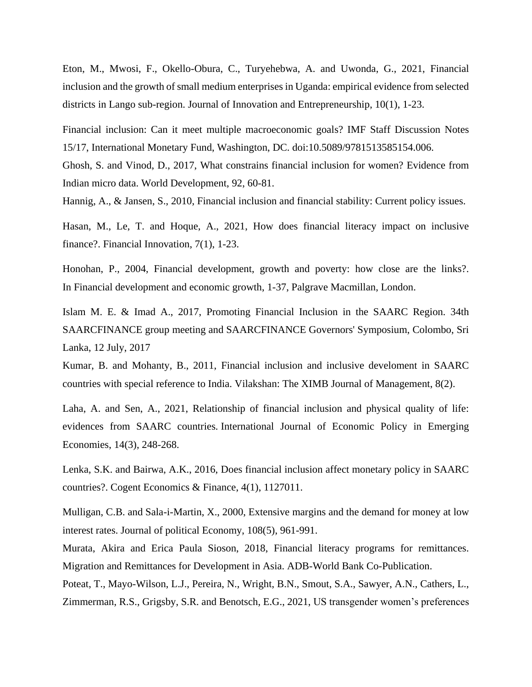Eton, M., Mwosi, F., Okello-Obura, C., Turyehebwa, A. and Uwonda, G., 2021, Financial inclusion and the growth of small medium enterprises in Uganda: empirical evidence from selected districts in Lango sub-region. Journal of Innovation and Entrepreneurship, 10(1), 1-23.

Financial inclusion: Can it meet multiple macroeconomic goals? IMF Staff Discussion Notes 15/17, International Monetary Fund, Washington, DC. doi:10.5089/9781513585154.006.

Ghosh, S. and Vinod, D., 2017, What constrains financial inclusion for women? Evidence from Indian micro data. World Development, 92, 60-81.

Hannig, A., & Jansen, S., 2010, Financial inclusion and financial stability: Current policy issues.

Hasan, M., Le, T. and Hoque, A., 2021, How does financial literacy impact on inclusive finance?. Financial Innovation, 7(1), 1-23.

Honohan, P., 2004, Financial development, growth and poverty: how close are the links?. In Financial development and economic growth, 1-37, Palgrave Macmillan, London.

Islam M. E. & Imad A., 2017, Promoting Financial Inclusion in the SAARC Region. 34th SAARCFINANCE group meeting and SAARCFINANCE Governors' Symposium, Colombo, Sri Lanka, 12 July, 2017

Kumar, B. and Mohanty, B., 2011, Financial inclusion and inclusive develoment in SAARC countries with special reference to India. Vilakshan: The XIMB Journal of Management, 8(2).

Laha, A. and Sen, A., 2021, Relationship of financial inclusion and physical quality of life: evidences from SAARC countries. International Journal of Economic Policy in Emerging Economies, 14(3), 248-268.

Lenka, S.K. and Bairwa, A.K., 2016, Does financial inclusion affect monetary policy in SAARC countries?. Cogent Economics & Finance, 4(1), 1127011.

Mulligan, C.B. and Sala-i-Martin, X., 2000, Extensive margins and the demand for money at low interest rates. Journal of political Economy, 108(5), 961-991.

Murata, Akira and Erica Paula Sioson, 2018, Financial literacy programs for remittances. Migration and Remittances for Development in Asia. ADB-World Bank Co-Publication.

Poteat, T., Mayo-Wilson, L.J., Pereira, N., Wright, B.N., Smout, S.A., Sawyer, A.N., Cathers, L., Zimmerman, R.S., Grigsby, S.R. and Benotsch, E.G., 2021, US transgender women's preferences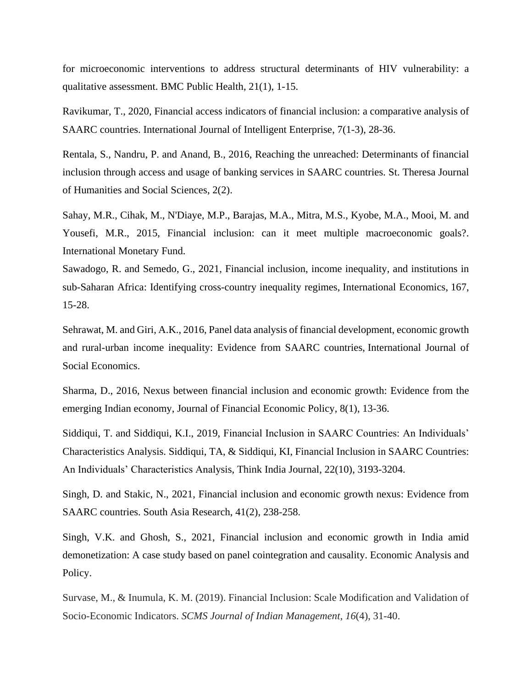for microeconomic interventions to address structural determinants of HIV vulnerability: a qualitative assessment. BMC Public Health, 21(1), 1-15.

Ravikumar, T., 2020, Financial access indicators of financial inclusion: a comparative analysis of SAARC countries. International Journal of Intelligent Enterprise, 7(1-3), 28-36.

Rentala, S., Nandru, P. and Anand, B., 2016, Reaching the unreached: Determinants of financial inclusion through access and usage of banking services in SAARC countries. St. Theresa Journal of Humanities and Social Sciences, 2(2).

Sahay, M.R., Cihak, M., N'Diaye, M.P., Barajas, M.A., Mitra, M.S., Kyobe, M.A., Mooi, M. and Yousefi, M.R., 2015, Financial inclusion: can it meet multiple macroeconomic goals?. International Monetary Fund.

Sawadogo, R. and Semedo, G., 2021, Financial inclusion, income inequality, and institutions in sub-Saharan Africa: Identifying cross-country inequality regimes, International Economics, 167, 15-28.

Sehrawat, M. and Giri, A.K., 2016, Panel data analysis of financial development, economic growth and rural-urban income inequality: Evidence from SAARC countries, International Journal of Social Economics.

Sharma, D., 2016, Nexus between financial inclusion and economic growth: Evidence from the emerging Indian economy, Journal of Financial Economic Policy, 8(1), 13-36.

Siddiqui, T. and Siddiqui, K.I., 2019, Financial Inclusion in SAARC Countries: An Individuals' Characteristics Analysis. Siddiqui, TA, & Siddiqui, KI, Financial Inclusion in SAARC Countries: An Individuals' Characteristics Analysis, Think India Journal, 22(10), 3193-3204.

Singh, D. and Stakic, N., 2021, Financial inclusion and economic growth nexus: Evidence from SAARC countries. South Asia Research, 41(2), 238-258.

Singh, V.K. and Ghosh, S., 2021, Financial inclusion and economic growth in India amid demonetization: A case study based on panel cointegration and causality. Economic Analysis and Policy.

Survase, M., & Inumula, K. M. (2019). Financial Inclusion: Scale Modification and Validation of Socio-Economic Indicators. *SCMS Journal of Indian Management*, *16*(4), 31-40.